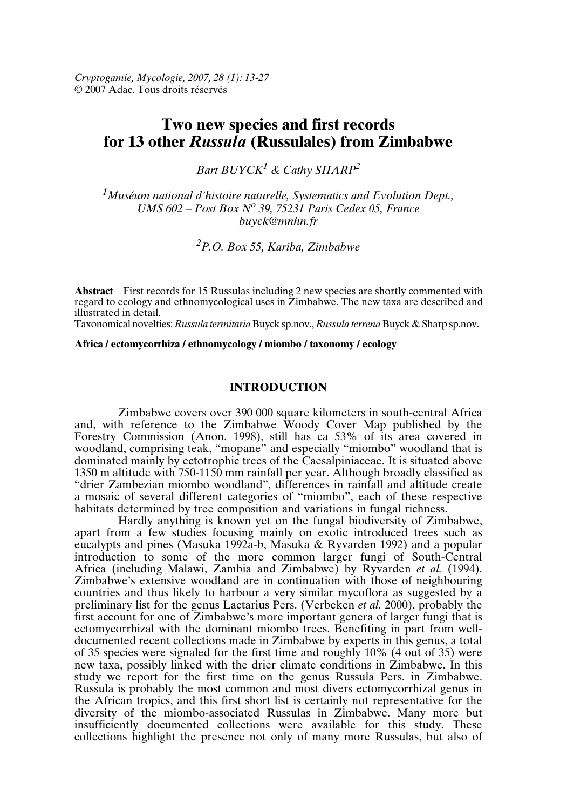*Cryptogamie, Mycologie, 2007, 28 (1): 13-27* © 2007 Adac. Tous droits réservés

# **Two new species and first records for 13 other** *Russula* **(Russulales) from Zimbabwe**

*Bart BUYCK<sup>1</sup> & Cathy SHARP<sup>2</sup>*

*<sup>1</sup>Muséum national d'histoire naturelle, Systematics and Evolution Dept., UMS 602 – Post Box N o 39, 75231 Paris Cedex 05, France buyck@mnhn.fr*

*<sup>2</sup>P.O. Box 55, Kariba, Zimbabwe*

**Abstract** – First records for 15 Russulas including 2 new species are shortly commented with regard to ecology and ethnomycological uses in Zimbabwe. The new taxa are described and illustrated in detail.

Taxonomical novelties: *Russula termitaria* Buyck sp.nov., *Russula terrena* Buyck & Sharp sp.nov.

**Africa / ectomycorrhiza / ethnomycology / miombo / taxonomy / ecology**

# **INTRODUCTION**

Zimbabwe covers over 390 000 square kilometers in south-central Africa and, with reference to the Zimbabwe Woody Cover Map published by the Forestry Commission (Anon. 1998), still has ca 53% of its area covered in woodland, comprising teak, "mopane" and especially "miombo" woodland that is dominated mainly by ectotrophic trees of the Caesalpiniaceae. It is situated above 1350 m altitude with 750-1150 mm rainfall per year. Although broadly classified as "drier Zambezian miombo woodland", differences in rainfall and altitude create a mosaic of several different categories of "miombo", each of these respective habitats determined by tree composition and variations in fungal richness.

Hardly anything is known yet on the fungal biodiversity of Zimbabwe, apart from a few studies focusing mainly on exotic introduced trees such as eucalypts and pines (Masuka 1992a-b, Masuka & Ryvarden 1992) and a popular introduction to some of the more common larger fungi of South-Central Africa (including Malawi, Zambia and Zimbabwe) by Ryvarden *et al.* (1994). Zimbabwe's extensive woodland are in continuation with those of neighbouring countries and thus likely to harbour a very similar mycoflora as suggested by a preliminary list for the genus Lactarius Pers. (Verbeken *et al.* 2000), probably the first account for one of Zimbabwe's more important genera of larger fungi that is ectomycorrhizal with the dominant miombo trees. Benefiting in part from welldocumented recent collections made in Zimbabwe by experts in this genus, a total of 35 species were signaled for the first time and roughly 10% (4 out of 35) were new taxa, possibly linked with the drier climate conditions in Zimbabwe. In this study we report for the first time on the genus Russula Pers. in Zimbabwe. Russula is probably the most common and most divers ectomycorrhizal genus in the African tropics, and this first short list is certainly not representative for the diversity of the miombo-associated Russulas in Zimbabwe. Many more but insufficiently documented collections were available for this study. These collections highlight the presence not only of many more Russulas, but also of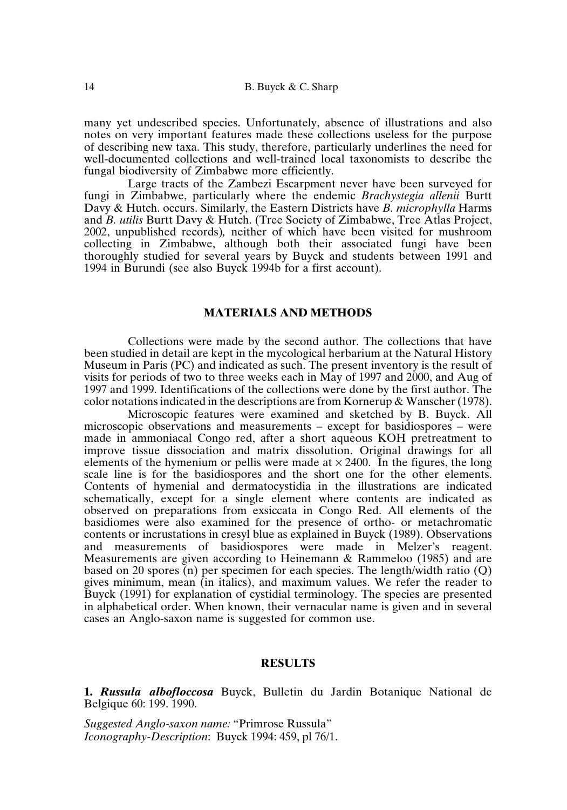many yet undescribed species. Unfortunately, absence of illustrations and also notes on very important features made these collections useless for the purpose of describing new taxa. This study, therefore, particularly underlines the need for well-documented collections and well-trained local taxonomists to describe the fungal biodiversity of Zimbabwe more efficiently.

Large tracts of the Zambezi Escarpment never have been surveyed for fungi in Zimbabwe, particularly where the endemic *Brachystegia allenii* Burtt Davy & Hutch. occurs. Similarly, the Eastern Districts have *B. microphylla* Harms and *B. utilis* Burtt Davy & Hutch. (Tree Society of Zimbabwe, Tree Atlas Project, 2002, unpublished records)*,* neither of which have been visited for mushroom collecting in Zimbabwe, although both their associated fungi have been thoroughly studied for several years by Buyck and students between 1991 and 1994 in Burundi (see also Buyck 1994b for a first account).

### **MATERIALS AND METHODS**

Collections were made by the second author. The collections that have been studied in detail are kept in the mycological herbarium at the Natural History Museum in Paris (PC) and indicated as such. The present inventory is the result of visits for periods of two to three weeks each in May of 1997 and 2000, and Aug of 1997 and 1999. Identifications of the collections were done by the first author. The color notations indicated in the descriptions are from Kornerup & Wanscher (1978).

Microscopic features were examined and sketched by B. Buyck. All microscopic observations and measurements – except for basidiospores – were made in ammoniacal Congo red, after a short aqueous KOH pretreatment to improve tissue dissociation and matrix dissolution. Original drawings for all elements of the hymenium or pellis were made at  $\times$  2400. In the figures, the long scale line is for the basidiospores and the short one for the other elements. Contents of hymenial and dermatocystidia in the illustrations are indicated schematically, except for a single element where contents are indicated as observed on preparations from exsiccata in Congo Red. All elements of the basidiomes were also examined for the presence of ortho- or metachromatic contents or incrustations in cresyl blue as explained in Buyck (1989). Observations and measurements of basidiospores were made in Melzer's reagent. Measurements are given according to Heinemann & Rammeloo (1985) and are based on 20 spores (n) per specimen for each species. The length/width ratio (Q) gives minimum, mean (in italics), and maximum values. We refer the reader to Buyck (1991) for explanation of cystidial terminology. The species are presented in alphabetical order. When known, their vernacular name is given and in several cases an Anglo-saxon name is suggested for common use.

#### **RESULTS**

**1.** *Russula albofloccosa* Buyck, Bulletin du Jardin Botanique National de Belgique 60: 199. 1990.

*Suggested Anglo-saxon name:* "Primrose Russula" *Iconography-Description*: Buyck 1994: 459, pl 76/1.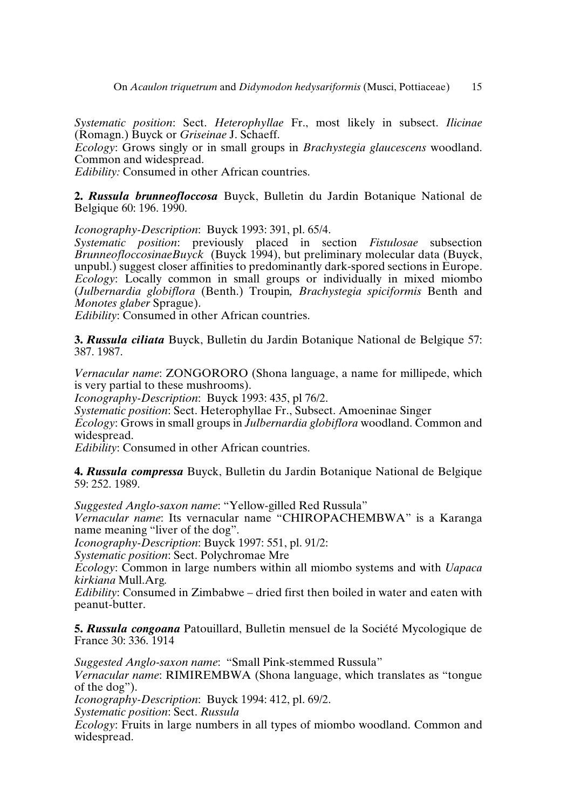*Systematic position*: Sect. *Heterophyllae* Fr., most likely in subsect. *Ilicinae* (Romagn.) Buyck or *Griseinae* J. Schaeff.

*Ecology*: Grows singly or in small groups in *Brachystegia glaucescens* woodland. Common and widespread.

*Edibility:* Consumed in other African countries.

**2.** *Russula brunneofloccosa* Buyck, Bulletin du Jardin Botanique National de Belgique 60: 196. 1990.

*Iconography-Description*: Buyck 1993: 391, pl. 65/4.

*Systematic position*: previously placed in section *Fistulosae* subsection *BrunneofloccosinaeBuyck* (Buyck 1994), but preliminary molecular data (Buyck, unpubl.) suggest closer affinities to predominantly dark-spored sections in Europe. *Ecology*: Locally common in small groups or individually in mixed miombo (*Julbernardia globiflora* (Benth.) Troupin*, Brachystegia spiciformis* Benth and *Monotes glaber* Sprague).

*Edibility*: Consumed in other African countries.

**3.** *Russula ciliata* Buyck, Bulletin du Jardin Botanique National de Belgique 57: 387. 1987.

*Vernacular name*: ZONGORORO (Shona language, a name for millipede, which is very partial to these mushrooms).

*Iconography-Description*: Buyck 1993: 435, pl 76/2.

*Systematic position*: Sect. Heterophyllae Fr., Subsect. Amoeninae Singer

*Ecology*: Grows in small groups in *Julbernardia globiflora* woodland. Common and widespread.

*Edibility*: Consumed in other African countries.

**4.** *Russula compressa* Buyck, Bulletin du Jardin Botanique National de Belgique 59: 252. 1989.

*Suggested Anglo-saxon name*: "Yellow-gilled Red Russula"

*Vernacular name*: Its vernacular name "CHIROPACHEMBWA" is a Karanga name meaning "liver of the dog".

*Iconography-Description*: Buyck 1997: 551, pl. 91/2:

*Systematic position*: Sect. Polychromae Mre

*Ecology*: Common in large numbers within all miombo systems and with *Uapaca kirkiana* Mull.Arg*.*

*Edibility*: Consumed in Zimbabwe – dried first then boiled in water and eaten with peanut-butter.

**5.** *Russula congoana* Patouillard, Bulletin mensuel de la Société Mycologique de France 30: 336. 1914

*Suggested Anglo-saxon name*: "Small Pink-stemmed Russula"

*Vernacular name*: RIMIREMBWA (Shona language, which translates as "tongue of the dog").

*Iconography-Description*: Buyck 1994: 412, pl. 69/2.

*Systematic position*: Sect. *Russula*

*Ecology*: Fruits in large numbers in all types of miombo woodland. Common and widespread.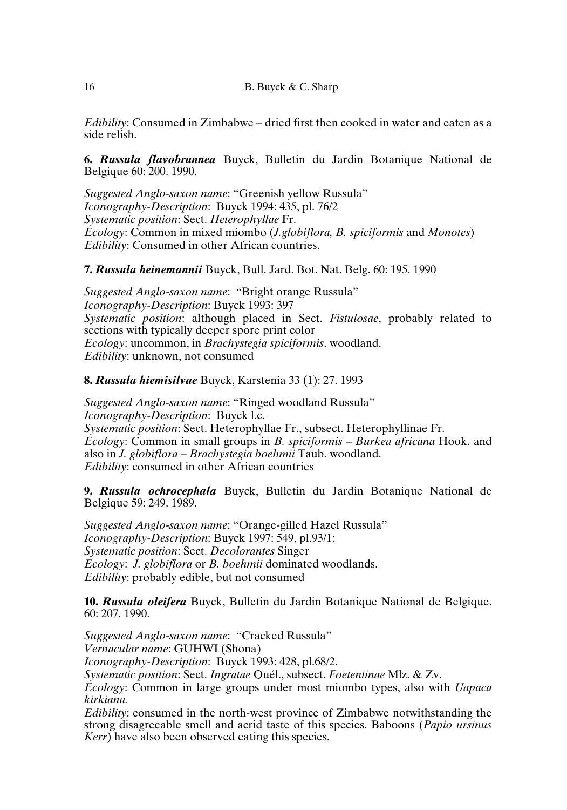*Edibility*: Consumed in Zimbabwe – dried first then cooked in water and eaten as a side relish.

**6.** *Russula flavobrunnea* Buyck, Bulletin du Jardin Botanique National de Belgique 60: 200. 1990.

*Suggested Anglo-saxon name*: "Greenish yellow Russula" *Iconography-Description*: Buyck 1994: 435, pl. 76/2 *Systematic position*: Sect. *Heterophyllae* Fr. *Ecology*: Common in mixed miombo (*J.globiflora, B. spiciformis* and *Monotes*) *Edibility*: Consumed in other African countries.

**7.** *Russula heinemannii* Buyck, Bull. Jard. Bot. Nat. Belg. 60: 195. 1990

*Suggested Anglo-saxon name*: "Bright orange Russula" *Iconography-Description*: Buyck 1993: 397 *Systematic position*: although placed in Sect. *Fistulosae*, probably related to sections with typically deeper spore print color *Ecology*: uncommon, in *Brachystegia spiciformis*. woodland. *Edibility*: unknown, not consumed

**8.** *Russula hiemisilvae* Buyck, Karstenia 33 (1): 27. 1993

*Suggested Anglo-saxon name*: "Ringed woodland Russula" *Iconography-Description*: Buyck l.c. *Systematic position*: Sect. Heterophyllae Fr., subsect. Heterophyllinae Fr. *Ecology*: Common in small groups in *B. spiciformis – Burkea africana* Hook. and also in *J. globiflora – Brachystegia boehmii* Taub. woodland. *Edibility*: consumed in other African countries

**9.** *Russula ochrocephala* Buyck, Bulletin du Jardin Botanique National de Belgique 59: 249. 1989.

*Suggested Anglo-saxon name*: "Orange-gilled Hazel Russula" *Iconography-Description*: Buyck 1997: 549, pl.93/1: *Systematic position*: Sect. *Decolorantes* Singer *Ecology*: *J. globiflora* or *B. boehmii* dominated woodlands. *Edibility*: probably edible, but not consumed

**10.** *Russula oleifera* Buyck, Bulletin du Jardin Botanique National de Belgique. 60: 207. 1990.

*Suggested Anglo-saxon name*: "Cracked Russula" *Vernacular name*: GUHWI (Shona)

*Iconography-Description*: Buyck 1993: 428, pl.68/2.

*Systematic position*: Sect. *Ingratae* Quél., subsect. *Foetentinae* Mlz. & Zv.

*Ecology*: Common in large groups under most miombo types, also with *Uapaca kirkiana.*

*Edibility*: consumed in the north-west province of Zimbabwe notwithstanding the strong disagreeable smell and acrid taste of this species. Baboons (*Papio ursinus Kerr*) have also been observed eating this species.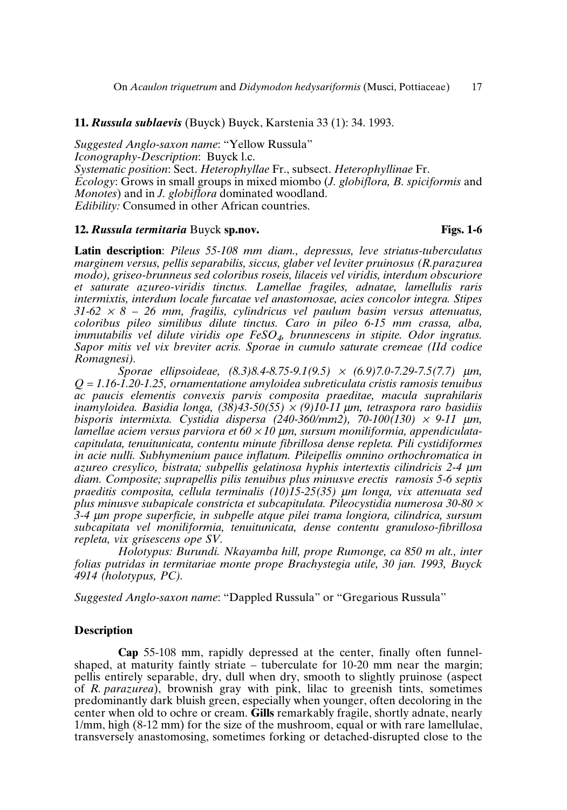# **11.** *Russula sublaevis* (Buyck) Buyck, Karstenia 33 (1): 34. 1993.

*Suggested Anglo-saxon name*: "Yellow Russula" *Iconography-Description*: Buyck l.c. *Systematic position*: Sect. *Heterophyllae* Fr., subsect. *Heterophyllinae* Fr. *Ecology*: Grows in small groups in mixed miombo (*J. globiflora, B. spiciformis* and *Monotes*) and in *J. globiflora* dominated woodland. *Edibility:* Consumed in other African countries.

## **12.** *Russula termitaria* Buyck **sp.nov. Figs. 1-6**

**Latin description**: *Pileus 55-108 mm diam., depressus, leve striatus-tuberculatus marginem versus, pellis separabilis, siccus, glaber vel leviter pruinosus (R.parazurea modo), griseo-brunneus sed coloribus roseis, lilaceis vel viridis, interdum obscuriore et saturate azureo-viridis tinctus. Lamellae fragiles, adnatae, lamellulis raris intermixtis, interdum locale furcatae vel anastomosae, acies concolor integra. Stipes 31-62* <sup>×</sup> *8 – 26 mm, fragilis, cylindricus vel paulum basim versus attenuatus, coloribus pileo similibus dilute tinctus. Caro in pileo 6-15 mm crassa, alba, immutabilis vel dilute viridis ope FeSO<sup>4</sup> , brunnescens in stipite. Odor ingratus. Sapor mitis vel vix breviter acris. Sporae in cumulo saturate cremeae (IId codice Romagnesi).*

*Sporae ellipsoideae, (8.3)8.4-8.75-9.1(9.5)* <sup>×</sup> *(6.9)7.0-7.29-7.5(7.7)* <sup>µ</sup>*m, Q = 1.16-1.20-1.25, ornamentatione amyloidea subreticulata cristis ramosis tenuibus ac paucis elementis convexis parvis composita praeditae, macula suprahilaris inamyloidea. Basidia longa, (38)43-50(55)* <sup>×</sup> *(9)10-11* <sup>µ</sup>*m, tetraspora raro basidiis bisporis intermixta. Cystidia dispersa (240-360/mm2), 70-100(130)* <sup>×</sup> *9-11* <sup>µ</sup>*m, lamellae aciem versus parviora et 60* <sup>×</sup> *10* <sup>µ</sup>*m, sursum moniliformia, appendiculatacapitulata, tenuitunicata, contentu minute fibrillosa dense repleta. Pili cystidiformes in acie nulli. Subhymenium pauce inflatum. Pileipellis omnino orthochromatica in azureo cresylico, bistrata; subpellis gelatinosa hyphis intertextis cilindricis 2-4* <sup>µ</sup>*m diam. Composite; suprapellis pilis tenuibus plus minusve erectis ramosis 5-6 septis praeditis composita, cellula terminalis (10)15-25(35)* <sup>µ</sup>*m longa, vix attenuata sed plus minusve subapicale constricta et subcapitulata. Pileocystidia numerosa 30-80* <sup>×</sup> *3-4* <sup>µ</sup>*m prope superficie, in subpelle atque pilei trama longiora, cilindrica, sursum subcapitata vel moniliformia, tenuitunicata, dense contentu granuloso-fibrillosa repleta, vix grisescens ope SV.*

*Holotypus: Burundi. Nkayamba hill, prope Rumonge, ca 850 m alt., inter folias putridas in termitariae monte prope Brachystegia utile, 30 jan. 1993, Buyck 4914 (holotypus, PC).*

*Suggested Anglo-saxon name*: "Dappled Russula" or "Gregarious Russula"

#### **Description**

**Cap** 55-108 mm, rapidly depressed at the center, finally often funnelshaped, at maturity faintly striate – tuberculate for 10-20 mm near the margin; pellis entirely separable, dry, dull when dry, smooth to slightly pruinose (aspect of *R. parazurea*), brownish gray with pink, lilac to greenish tints, sometimes predominantly dark bluish green, especially when younger, often decoloring in the center when old to ochre or cream. **Gills** remarkably fragile, shortly adnate, nearly 1/mm, high (8-12 mm) for the size of the mushroom, equal or with rare lamellulae, transversely anastomosing, sometimes forking or detached-disrupted close to the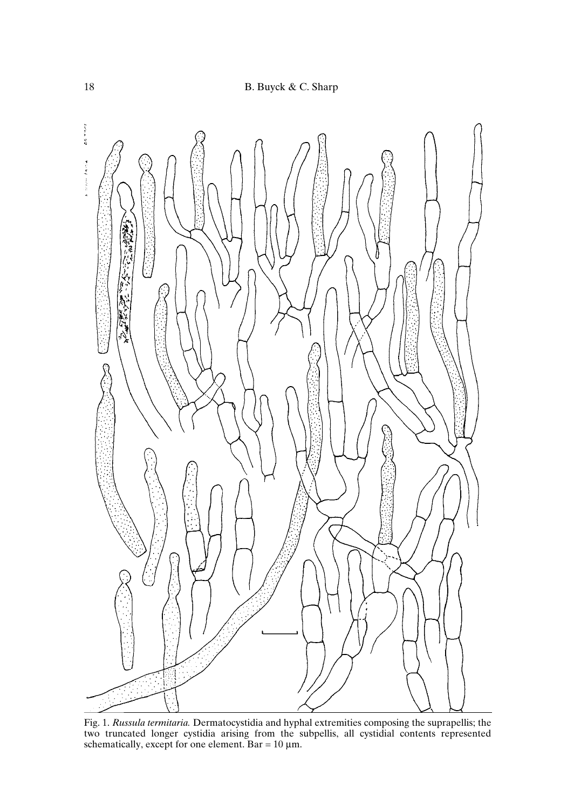

Fig. 1. *Russula termitaria.* Dermatocystidia and hyphal extremities composing the suprapellis; the two truncated longer cystidia arising from the subpellis, all cystidial contents represented schematically, except for one element. Bar = 10 µm.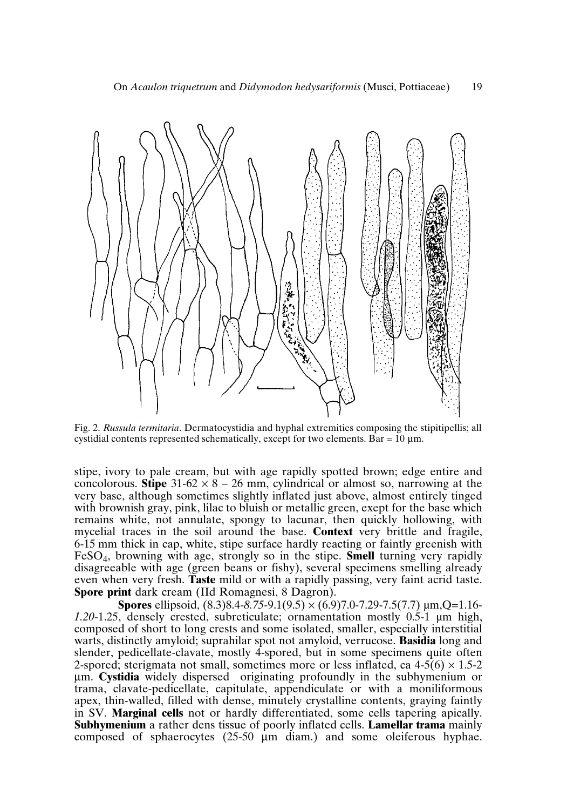

Fig. 2. *Russula termitaria*. Dermatocystidia and hyphal extremities composing the stipitipellis; all cystidial contents represented schematically, except for two elements. Bar =  $10 \mu m$ .

stipe, ivory to pale cream, but with age rapidly spotted brown; edge entire and concolorous. **Stipe**  $31-62 \times 8 - 26$  mm, cylindrical or almost so, narrowing at the very base, although sometimes slightly inflated just above, almost entirely tinged with brownish gray, pink, lilac to bluish or metallic green, exept for the base which remains white, not annulate, spongy to lacunar, then quickly hollowing, with mycelial traces in the soil around the base. **Context** very brittle and fragile, 6-15 mm thick in cap, white, stipe surface hardly reacting or faintly greenish with FeSO<sup>4</sup> , browning with age, strongly so in the stipe. **Smell** turning very rapidly disagreeable with age (green beans or fishy), several specimens smelling already even when very fresh. **Taste** mild or with a rapidly passing, very faint acrid taste. **Spore print** dark cream (IId Romagnesi, 8 Dagron).

**Spores** ellipsoid, (8.3)8.4-*8.75*-9.1(9.5) × (6.9)7.0-7.29-7.5(7.7) µm,Q=1.16- *1.20*-1.25, densely crested, subreticulate; ornamentation mostly 0.5-1 µm high, composed of short to long crests and some isolated, smaller, especially interstitial warts, distinctly amyloid; suprahilar spot not amyloid, verrucose. **Basidia** long and slender, pedicellate-clavate, mostly 4-spored, but in some specimens quite often 2-spored; sterigmata not small, sometimes more or less inflated, ca  $4-5(6) \times 1.5-2$ µm. **Cystidia** widely dispersed originating profoundly in the subhymenium or trama, clavate-pedicellate, capitulate, appendiculate or with a moniliformous apex, thin-walled, filled with dense, minutely crystalline contents, graying faintly in SV. **Marginal cells** not or hardly differentiated, some cells tapering apically. **Subhymenium** a rather dens tissue of poorly inflated cells. **Lamellar trama** mainly composed of sphaerocytes (25-50 µm diam.) and some oleiferous hyphae.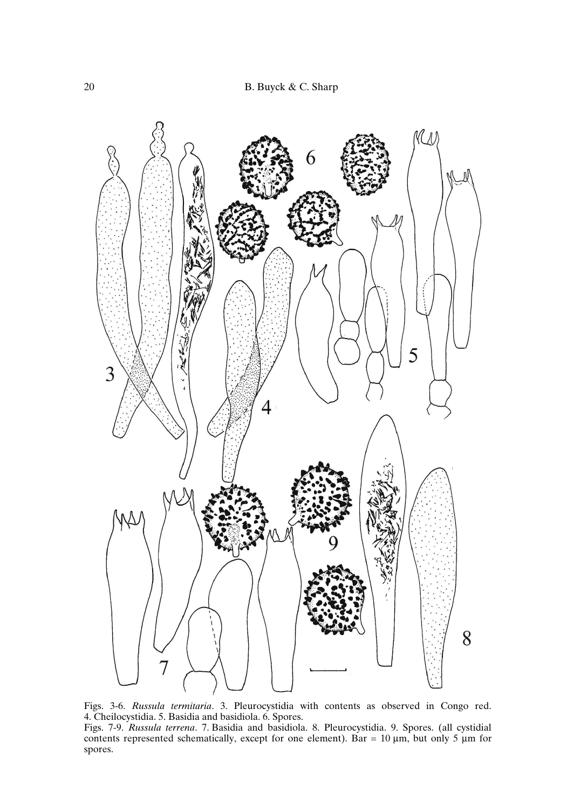

Figs. 3-6. *Russula termitaria*. 3. Pleurocystidia with contents as observed in Congo red. 4. Cheilocystidia. 5. Basidia and basidiola. 6. Spores. Figs. 7-9. *Russula terrena*. 7. Basidia and basidiola. 8. Pleurocystidia. 9. Spores. (all cystidial contents represented schematically, except for one element). Bar  $= 10 \mu m$ , but only 5  $\mu$ m for spores.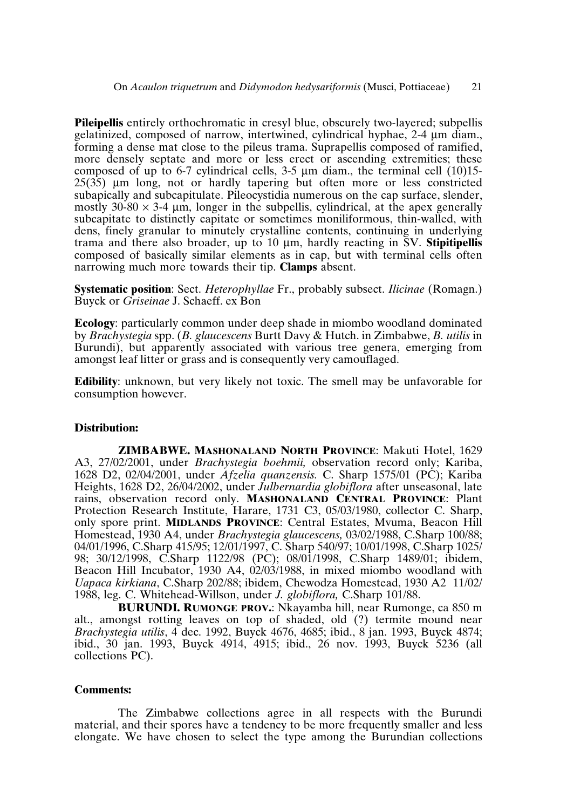**Pileipellis** entirely orthochromatic in cresyl blue, obscurely two-layered; subpellis gelatinized, composed of narrow, intertwined, cylindrical hyphae, 2-4 µm diam., forming a dense mat close to the pileus trama. Suprapellis composed of ramified, more densely septate and more or less erect or ascending extremities; these composed of up to 6-7 cylindrical cells,  $3-5 \mu m$  diam., the terminal cell (10)15-25(35) µm long, not or hardly tapering but often more or less constricted subapically and subcapitulate. Pileocystidia numerous on the cap surface, slender, mostly 30-80  $\times$  3-4 µm, longer in the subpellis, cylindrical, at the apex generally subcapitate to distinctly capitate or sometimes moniliformous, thin-walled, with dens, finely granular to minutely crystalline contents, continuing in underlying trama and there also broader, up to 10 µm, hardly reacting in SV. **Stipitipellis** composed of basically similar elements as in cap, but with terminal cells often narrowing much more towards their tip. **Clamps** absent.

**Systematic position**: Sect. *Heterophyllae* Fr., probably subsect. *Ilicinae* (Romagn.) Buyck or *Griseinae* J. Schaeff. ex Bon

**Ecology**: particularly common under deep shade in miombo woodland dominated by *Brachystegia* spp. (*B. glaucescens* Burtt Davy & Hutch. in Zimbabwe, *B. utilis* in Burundi), but apparently associated with various tree genera, emerging from amongst leaf litter or grass and is consequently very camouflaged.

**Edibility**: unknown, but very likely not toxic. The smell may be unfavorable for consumption however.

#### **Distribution:**

**ZIMBABWE. MASHONALAND NORTH PROVINCE**: Makuti Hotel, 1629 A3, 27/02/2001, under *Brachystegia boehmii,* observation record only; Kariba, 1628 D2, 02/04/2001, under *Afzelia quanzensis.* C. Sharp 1575/01 (PC); Kariba Heights, 1628 D2, 26/04/2002, under *Julbernardia globiflora* after unseasonal, late rains, observation record only. **MASHONALAND CENTRAL PROVINCE**: Plant Protection Research Institute, Harare, 1731 C3, 05/03/1980, collector C. Sharp, only spore print. **MIDLANDS PROVINCE**: Central Estates, Mvuma, Beacon Hill Homestead, 1930 A4, under *Brachystegia glaucescens,* 03/02/1988, C.Sharp 100/88; 04/01/1996, C.Sharp 415/95; 12/01/1997, C. Sharp 540/97; 10/01/1998, C.Sharp 1025/ 98; 30/12/1998, C.Sharp 1122/98 (PC); 08/01/1998, C.Sharp 1489/01; ibidem, Beacon Hill Incubator, 1930 A4, 02/03/1988, in mixed miombo woodland with *Uapaca kirkiana*, C.Sharp 202/88; ibidem, Chewodza Homestead, 1930 A2 11/02/ 1988, leg. C. Whitehead-Willson, under *J. globiflora,* C.Sharp 101/88.

**BURUNDI. RUMONGE PROV.**: Nkayamba hill, near Rumonge, ca 850 m alt., amongst rotting leaves on top of shaded, old (?) termite mound near *Brachystegia utilis*, 4 dec. 1992, Buyck 4676, 4685; ibid., 8 jan. 1993, Buyck 4874; ibid., 30 jan. 1993, Buyck 4914, 4915; ibid., 26 nov. 1993, Buyck 5236 (all collections PC).

#### **Comments:**

The Zimbabwe collections agree in all respects with the Burundi material, and their spores have a tendency to be more frequently smaller and less elongate. We have chosen to select the type among the Burundian collections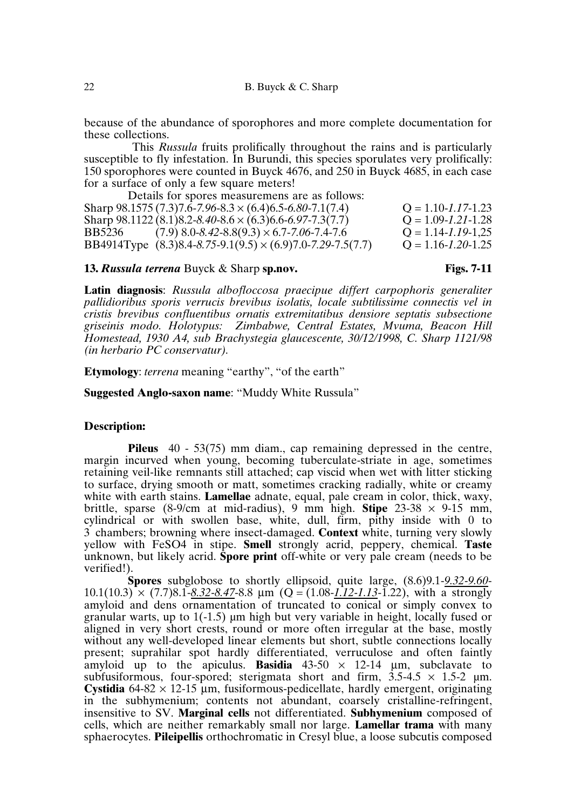because of the abundance of sporophores and more complete documentation for these collections.

This *Russula* fruits prolifically throughout the rains and is particularly susceptible to fly infestation. In Burundi, this species sporulates very prolifically: 150 sporophores were counted in Buyck 4676, and 250 in Buyck 4685, in each case for a surface of only a few square meters!

Details for spores measuremens are as follows: Sharp 98.1575 (7.3)7.6-7.96-8.3 × (6.4)6.5-6.80-7.1(7.4)  $Q = 1.10$ -1.17-1.23<br>Sharp 98.1122 (8.1)8.2-8.40-8.6 × (6.3)6.6-6.97-7.3(7.7)  $Q = 1.09$ -1.21-1.28 Sharp 98.1122 (8.1)8.2-8.40-8.6 × (6.3)6.6-6.97-7.3(7.7)  $Q = 1.09 - 1.21 - 1.28$ <br>BB5236 (7.9) 8.0-8.42-8.8(9.3) × 6.7-7.06-7.4-7.6  $Q = 1.14 - 1.19 - 1.25$  $B(7.9)$  8.0-8.42-8.8(9.3) × 6.7-7.06-7.4-7.6  $Q = 1.14$ -1.19-1,25<br>  $B(8.3)$ 8.4-8.75-9.1(9.5) × (6.9)7.0-7.29-7.5(7.7)  $Q = 1.16$ -1.20-1.25 BB4914Type (8.3)8.4-8.75-9.1(9.5) × (6.9)7.0-7.29-7.5(7.7)

# **13.** *Russula terrena* Buyck & Sharp **sp.nov. Figs. 7-11**

**Latin diagnosis**: *Russula albofloccosa praecipue differt carpophoris generaliter pallidioribus sporis verrucis brevibus isolatis, locale subtilissime connectis vel in cristis brevibus confluentibus ornatis extremitatibus densiore septatis subsectione griseinis modo. Holotypus: Zimbabwe, Central Estates, Mvuma, Beacon Hill Homestead, 1930 A4, sub Brachystegia glaucescente, 30/12/1998, C. Sharp 1121/98 (in herbario PC conservatur).*

**Etymology**: *terrena* meaning "earthy", "of the earth"

**Suggested Anglo-saxon name**: "Muddy White Russula"

#### **Description:**

**Pileus** 40 - 53(75) mm diam., cap remaining depressed in the centre, margin incurved when young, becoming tuberculate-striate in age, sometimes retaining veil-like remnants still attached; cap viscid when wet with litter sticking to surface, drying smooth or matt, sometimes cracking radially, white or creamy white with earth stains. **Lamellae** adnate, equal, pale cream in color, thick, waxy, brittle, sparse (8-9/cm at mid-radius), 9 mm high. **Stipe**  $23-38 \times 9-15$  mm, cylindrical or with swollen base, white, dull, firm, pithy inside with 0 to 3 chambers; browning where insect-damaged. **Context** white, turning very slowly yellow with FeSO4 in stipe. **Smell** strongly acrid, peppery, chemical. **Taste** unknown, but likely acrid. **Spore print** off-white or very pale cream (needs to be verified!).

**Spores** subglobose to shortly ellipsoid, quite large, (8.6)9.1-*9.32-9.60*-  $10.1(10.3) \times (7.7)8.1 - 8.32 - 8.47 - 8.8 \mu m$  (Q = (1.08-1.12-1.13-1.22), with a strongly amyloid and dens ornamentation of truncated to conical or simply convex to granular warts, up to  $1(-1.5)$  µm high but very variable in height, locally fused or aligned in very short crests, round or more often irregular at the base, mostly without any well-developed linear elements but short, subtle connections locally present; suprahilar spot hardly differentiated, verruculose and often faintly amyloid up to the apiculus. **Basidia** 43-50 × 12-14 µm, subclavate to subfusiformous, four-spored; sterigmata short and firm,  $3.5\n-4.5 \times 1.5\n-2 \mu m$ . **Cystidia**  $64-82 \times 12-15 \mu m$ , fusiformous-pedicellate, hardly emergent, originating in the subhymenium; contents not abundant, coarsely cristalline-refringent, insensitive to SV. **Marginal cells** not differentiated. **Subhymenium** composed of cells, which are neither remarkably small nor large. **Lamellar trama** with many sphaerocytes. **Pileipellis** orthochromatic in Cresyl blue, a loose subcutis composed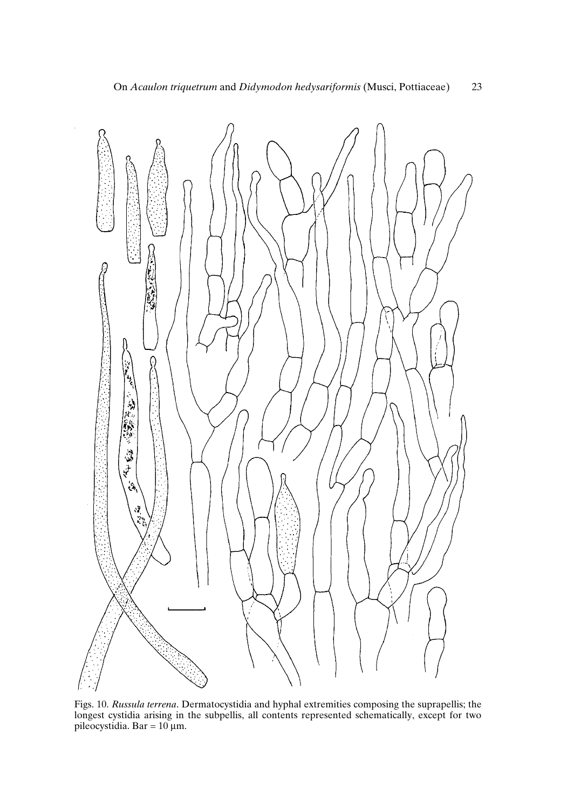

Figs. 10. *Russula terrena*. Dermatocystidia and hyphal extremities composing the suprapellis; the longest cystidia arising in the subpellis, all contents represented schematically, except for two pileocystidia. Bar = 10 µm.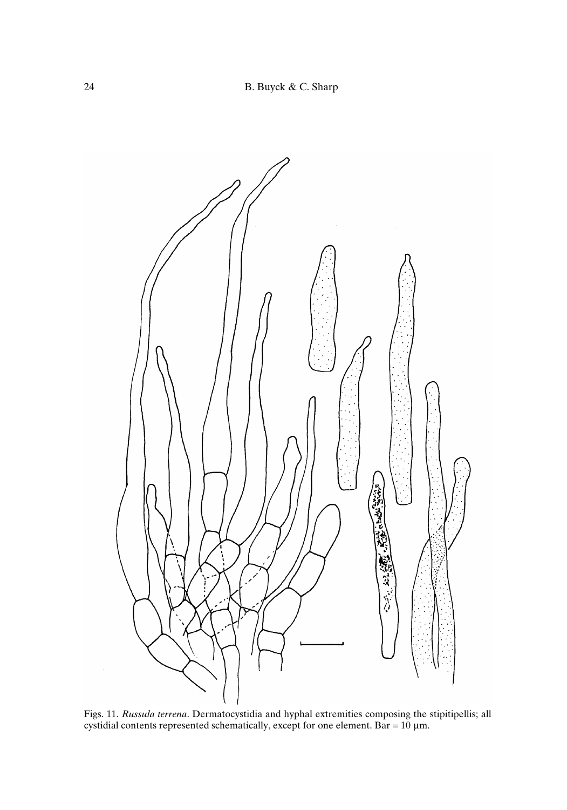

Figs. 11. *Russula terrena*. Dermatocystidia and hyphal extremities composing the stipitipellis; all cystidial contents represented schematically, except for one element. Bar = 10 µm.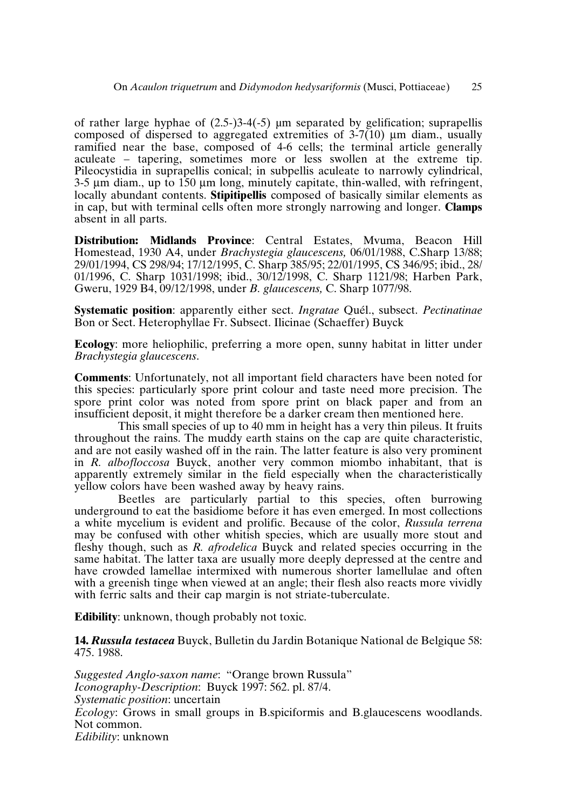of rather large hyphae of  $(2.5-)3-4(-5)$  µm separated by gelification; suprapellis composed of dispersed to aggregated extremities of  $3-7(10)$  µm diam., usually ramified near the base, composed of 4-6 cells; the terminal article generally aculeate – tapering, sometimes more or less swollen at the extreme tip. Pileocystidia in suprapellis conical; in subpellis aculeate to narrowly cylindrical, 3-5 µm diam., up to 150 µm long, minutely capitate, thin-walled, with refringent, locally abundant contents. **Stipitipellis** composed of basically similar elements as in cap, but with terminal cells often more strongly narrowing and longer. **Clamps** absent in all parts.

**Distribution: Midlands Province**: Central Estates, Mvuma, Beacon Hill Homestead, 1930 A4, under *Brachystegia glaucescens,* 06/01/1988, C.Sharp 13/88; 29/01/1994, CS 298/94; 17/12/1995, C. Sharp 385/95; 22/01/1995, CS 346/95; ibid., 28/ 01/1996, C. Sharp 1031/1998; ibid., 30/12/1998, C. Sharp 1121/98; Harben Park, Gweru, 1929 B4, 09/12/1998, under *B. glaucescens,* C. Sharp 1077/98.

**Systematic position**: apparently either sect. *Ingratae* Quél., subsect. *Pectinatinae* Bon or Sect. Heterophyllae Fr. Subsect. Ilicinae (Schaeffer) Buyck

**Ecology**: more heliophilic, preferring a more open, sunny habitat in litter under *Brachystegia glaucescens*.

**Comments**: Unfortunately, not all important field characters have been noted for this species: particularly spore print colour and taste need more precision. The spore print color was noted from spore print on black paper and from an insufficient deposit, it might therefore be a darker cream then mentioned here.

This small species of up to 40 mm in height has a very thin pileus. It fruits throughout the rains. The muddy earth stains on the cap are quite characteristic, and are not easily washed off in the rain. The latter feature is also very prominent in *R. albofloccosa* Buyck, another very common miombo inhabitant, that is apparently extremely similar in the field especially when the characteristically yellow colors have been washed away by heavy rains.

Beetles are particularly partial to this species, often burrowing underground to eat the basidiome before it has even emerged. In most collections a white mycelium is evident and prolific. Because of the color, *Russula terrena* may be confused with other whitish species, which are usually more stout and fleshy though, such as *R. afrodelica* Buyck and related species occurring in the same habitat. The latter taxa are usually more deeply depressed at the centre and have crowded lamellae intermixed with numerous shorter lamellulae and often with a greenish tinge when viewed at an angle; their flesh also reacts more vividly with ferric salts and their cap margin is not striate-tuberculate.

**Edibility**: unknown, though probably not toxic.

**14.** *Russula testacea* Buyck, Bulletin du Jardin Botanique National de Belgique 58: 475. 1988.

*Suggested Anglo-saxon name*: "Orange brown Russula" *Iconography-Description*: Buyck 1997: 562. pl. 87/4. *Systematic position*: uncertain *Ecology*: Grows in small groups in B.spiciformis and B.glaucescens woodlands. Not common. *Edibility*: unknown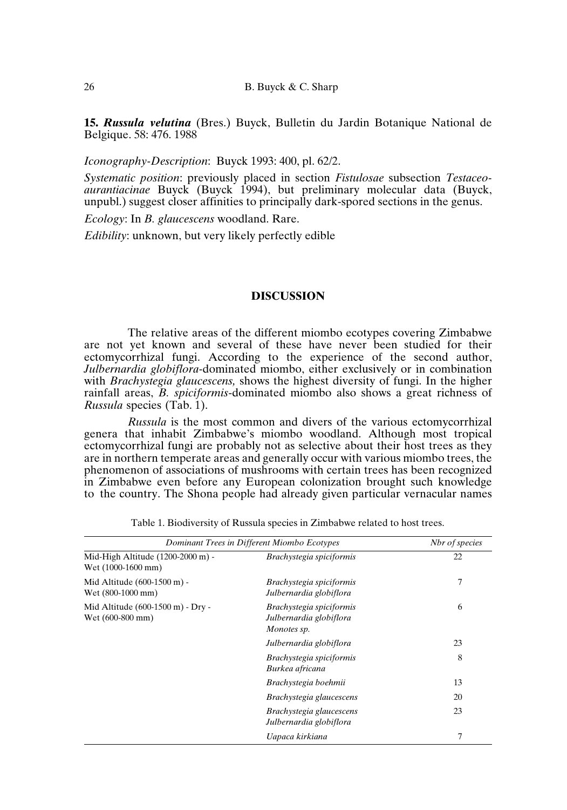**15.** *Russula velutina* (Bres.) Buyck, Bulletin du Jardin Botanique National de Belgique. 58: 476. 1988

*Iconography-Description*: Buyck 1993: 400, pl. 62/2.

*Systematic position*: previously placed in section *Fistulosae* subsection *Testaceoaurantiacinae* Buyck (Buyck 1994), but preliminary molecular data (Buyck, unpubl.) suggest closer affinities to principally dark-spored sections in the genus.

*Ecology*: In *B. glaucescens* woodland. Rare.

*Edibility*: unknown, but very likely perfectly edible

## **DISCUSSION**

The relative areas of the different miombo ecotypes covering Zimbabwe are not yet known and several of these have never been studied for their ectomycorrhizal fungi. According to the experience of the second author, *Julbernardia globiflora-*dominated miombo, either exclusively or in combination with *Brachystegia glaucescens,* shows the highest diversity of fungi. In the higher rainfall areas, *B. spiciformis*-dominated miombo also shows a great richness of *Russula* species (Tab. 1).

*Russula* is the most common and divers of the various ectomycorrhizal genera that inhabit Zimbabwe's miombo woodland. Although most tropical ectomycorrhizal fungi are probably not as selective about their host trees as they are in northern temperate areas and generally occur with various miombo trees, the phenomenon of associations of mushrooms with certain trees has been recognized in Zimbabwe even before any European colonization brought such knowledge to the country. The Shona people had already given particular vernacular names

| Dominant Trees in Different Miombo Ecotypes             |                                                                    | Nbr of species |
|---------------------------------------------------------|--------------------------------------------------------------------|----------------|
| Mid-High Altitude (1200-2000 m) -<br>Wet (1000-1600 mm) | Brachystegia spiciformis                                           | 22             |
| Mid Altitude (600-1500 m) -<br>Wet (800-1000 mm)        | Brachystegia spiciformis<br>Julbernardia globiflora                | 7              |
| Mid Altitude (600-1500 m) - Dry -<br>Wet (600-800 mm)   | Brachystegia spiciformis<br>Julbernardia globiflora<br>Monotes sp. | 6              |
|                                                         | Julbernardia globiflora                                            | 23             |
|                                                         | Brachystegia spiciformis<br>Burkea africana                        | 8              |
|                                                         | Brachystegia boehmii                                               | 13             |
|                                                         | Brachystegia glaucescens                                           | 20             |
|                                                         | Brachystegia glaucescens<br>Julbernardia globiflora                | 23             |
|                                                         | Uapaca kirkiana                                                    | 7              |

Table 1. Biodiversity of Russula species in Zimbabwe related to host trees.